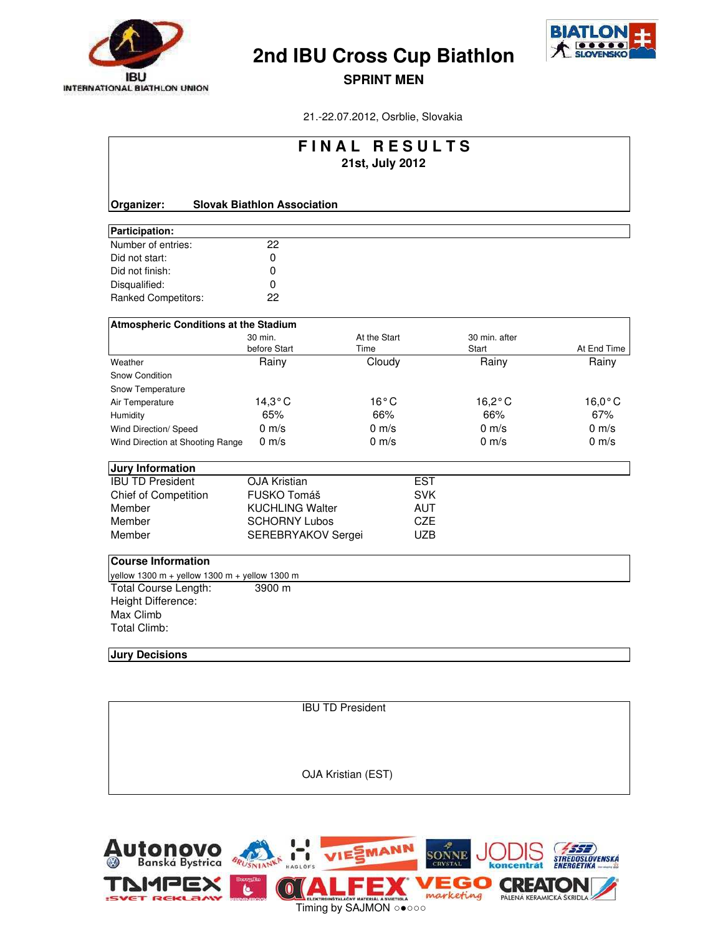



**SPRINT MEN**

21.-22.07.2012, Osrblie, Slovakia

| FINAL RESULTS<br>21st, July 2012                                                                                                                      |                                    |                      |            |                        |                  |  |  |  |
|-------------------------------------------------------------------------------------------------------------------------------------------------------|------------------------------------|----------------------|------------|------------------------|------------------|--|--|--|
| Organizer:                                                                                                                                            | <b>Slovak Biathlon Association</b> |                      |            |                        |                  |  |  |  |
| Participation:                                                                                                                                        |                                    |                      |            |                        |                  |  |  |  |
| Number of entries:                                                                                                                                    | 22                                 |                      |            |                        |                  |  |  |  |
| Did not start:                                                                                                                                        | $\mathbf 0$                        |                      |            |                        |                  |  |  |  |
| Did not finish:                                                                                                                                       | 0                                  |                      |            |                        |                  |  |  |  |
| Disqualified:                                                                                                                                         | 0                                  |                      |            |                        |                  |  |  |  |
| <b>Ranked Competitors:</b>                                                                                                                            | 22                                 |                      |            |                        |                  |  |  |  |
| Atmospheric Conditions at the Stadium                                                                                                                 |                                    |                      |            |                        |                  |  |  |  |
|                                                                                                                                                       | 30 min.<br>before Start            | At the Start<br>Time |            | 30 min. after<br>Start | At End Time      |  |  |  |
| Weather                                                                                                                                               | Rainy                              | Cloudy               |            | Rainy                  | Rainy            |  |  |  |
| Snow Condition                                                                                                                                        |                                    |                      |            |                        |                  |  |  |  |
| Snow Temperature                                                                                                                                      |                                    |                      |            |                        |                  |  |  |  |
| Air Temperature                                                                                                                                       | $14,3^{\circ}$ C                   | $16^{\circ}$ C       |            | $16,2^{\circ}$ C       | $16,0^{\circ}$ C |  |  |  |
| Humidity                                                                                                                                              | 65%                                | 66%                  |            | 66%                    | 67%              |  |  |  |
| Wind Direction/ Speed                                                                                                                                 | $0 \text{ m/s}$                    | $0 \text{ m/s}$      |            | $0 \text{ m/s}$        | $0 \text{ m/s}$  |  |  |  |
| Wind Direction at Shooting Range                                                                                                                      | $0 \text{ m/s}$                    | $0 \text{ m/s}$      |            | $0 \text{ m/s}$        | $0 \text{ m/s}$  |  |  |  |
| <b>Jury Information</b>                                                                                                                               |                                    |                      |            |                        |                  |  |  |  |
| <b>IBU TD President</b>                                                                                                                               | <b>OJA Kristian</b>                |                      | <b>EST</b> |                        |                  |  |  |  |
| <b>Chief of Competition</b>                                                                                                                           | FUSKO Tomáš                        |                      | <b>SVK</b> |                        |                  |  |  |  |
| Member                                                                                                                                                | <b>KUCHLING Walter</b>             |                      | <b>AUT</b> |                        |                  |  |  |  |
| Member                                                                                                                                                | <b>SCHORNY Lubos</b>               |                      | <b>CZE</b> |                        |                  |  |  |  |
| Member                                                                                                                                                | SEREBRYAKOV Sergei                 |                      | <b>UZB</b> |                        |                  |  |  |  |
| <b>Course Information</b><br>yellow 1300 m + yellow 1300 m + yellow 1300 m<br>Total Course Length:<br>Height Difference:<br>Max Climb<br>Total Climb: | 3900 m                             |                      |            |                        |                  |  |  |  |

#### **Jury Decisions**

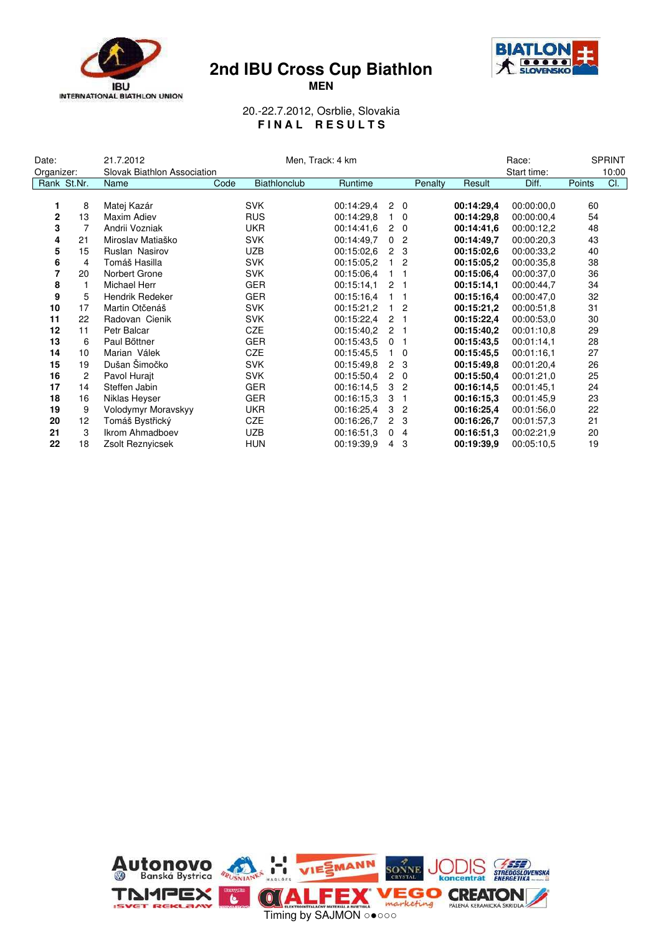





20.-22.7.2012, Osrblie, Slovakia **F I N A L R E S U L T S**

| Date:       |                | 21.7.2012                   | Men, Track: 4 km |                     |            |                      |                | Race:   |            | <b>SPRINT</b> |        |     |
|-------------|----------------|-----------------------------|------------------|---------------------|------------|----------------------|----------------|---------|------------|---------------|--------|-----|
| Organizer:  |                | Slovak Biathlon Association |                  |                     |            |                      |                |         |            | Start time:   | 10:00  |     |
|             | Rank St.Nr.    | Name                        | Code             | <b>Biathlonclub</b> | Runtime    |                      |                | Penalty | Result     | Diff.         | Points | CI. |
|             |                |                             |                  |                     |            |                      |                |         |            |               |        |     |
| 1           | 8              | Matej Kazár                 |                  | <b>SVK</b>          | 00:14:29,4 |                      | $2\quad 0$     |         | 00:14:29,4 | 00:00:00.0    | 60     |     |
| $\mathbf 2$ | 13             | Maxim Adiev                 |                  | <b>RUS</b>          | 00:14:29.8 |                      | $1\quad$ 0     |         | 00:14:29.8 | 00:00:00.4    | 54     |     |
| 3           |                | Andrii Vozniak              |                  | <b>UKR</b>          | 00:14:41.6 | $\overline{2}$       | $\overline{0}$ |         | 00:14:41.6 | 00:00:12,2    | 48     |     |
| 4           | 21             | Miroslav Matiaško           |                  | <b>SVK</b>          | 00:14:49.7 | $\mathbf{0}$         | $\overline{2}$ |         | 00:14:49.7 | 00:00:20.3    | 43     |     |
| 5           | 15             | Ruslan Nasirov              |                  | <b>UZB</b>          | 00:15:02.6 | $\overline{2}$       | 3              |         | 00:15:02.6 | 00:00:33,2    | 40     |     |
| 6           | 4              | Tomáš Hasilla               |                  | <b>SVK</b>          | 00:15:05.2 | $\mathbf{1}$         | $\overline{2}$ |         | 00:15:05.2 | 00:00:35.8    | 38     |     |
| 7           | 20             | Norbert Grone               |                  | <b>SVK</b>          | 00:15:06.4 | 1.                   |                |         | 00:15:06.4 | 00:00:37.0    | 36     |     |
| 8           |                | Michael Herr                |                  | <b>GER</b>          | 00:15:14.1 | 2 <sub>1</sub>       |                |         | 00:15:14.1 | 00:00:44,7    | 34     |     |
| 9           | 5              | Hendrik Redeker             |                  | <b>GER</b>          | 00:15:16.4 |                      | $1 \quad 1$    |         | 00:15:16.4 | 00:00:47.0    | 32     |     |
| 10          | 17             | Martin Otčenáš              |                  | <b>SVK</b>          | 00:15:21,2 |                      | $1\quad2$      |         | 00:15:21,2 | 00:00:51,8    | 31     |     |
| 11          | 22             | Radovan Cienik              |                  | <b>SVK</b>          | 00:15:22,4 |                      | 2 <sub>1</sub> |         | 00:15:22,4 | 00:00:53.0    | 30     |     |
| 12          | 11             | Petr Balcar                 |                  | <b>CZE</b>          | 00:15:40.2 | 2 <sub>1</sub>       |                |         | 00:15:40,2 | 00:01:10.8    | 29     |     |
| 13          | 6              | Paul Bőttner                |                  | <b>GER</b>          | 00:15:43.5 | 0 <sub>1</sub>       |                |         | 00:15:43.5 | 00:01:14,1    | 28     |     |
| 14          | 10             | Marian Válek                |                  | <b>CZE</b>          | 00:15:45,5 |                      | $\overline{0}$ |         | 00:15:45,5 | 00:01:16,1    | 27     |     |
| 15          | 19             | Dušan Šimočko               |                  | <b>SVK</b>          | 00:15:49,8 | $\mathbf{2}$         | 3              |         | 00:15:49,8 | 00:01:20,4    | 26     |     |
| 16          | $\overline{2}$ | Pavol Hurait                |                  | <b>SVK</b>          | 00:15:50.4 | $\overline{2}$       | $\mathbf 0$    |         | 00:15:50,4 | 00:01:21.0    | 25     |     |
| 17          | 14             | Steffen Jabin               |                  | <b>GER</b>          | 00:16:14.5 | 3                    | $\overline{2}$ |         | 00:16:14.5 | 00:01:45.1    | 24     |     |
| 18          | 16             | Niklas Heyser               |                  | <b>GER</b>          | 00:16:15.3 | 3                    |                |         | 00:16:15,3 | 00:01:45,9    | 23     |     |
| 19          | 9              | Volodymyr Moravskyy         |                  | <b>UKR</b>          | 00:16:25,4 | 3                    | $\overline{2}$ |         | 00:16:25,4 | 00:01:56.0    | 22     |     |
| 20          | 12             | Tomáš Bystřický             |                  | <b>CZE</b>          | 00:16:26.7 | $\mathbf{2}^{\circ}$ | 3              |         | 00:16:26,7 | 00:01:57,3    | 21     |     |
| 21          | 3              | <b>Ikrom Ahmadboev</b>      |                  | <b>UZB</b>          | 00:16:51.3 | $\mathbf 0$          | 4              |         | 00:16:51.3 | 00:02:21.9    | 20     |     |
| 22          | 18             | Zsolt Reznyicsek            |                  | <b>HUN</b>          | 00:19:39.9 | $\overline{4}$       | 3              |         | 00:19:39,9 | 00:05:10.5    | 19     |     |

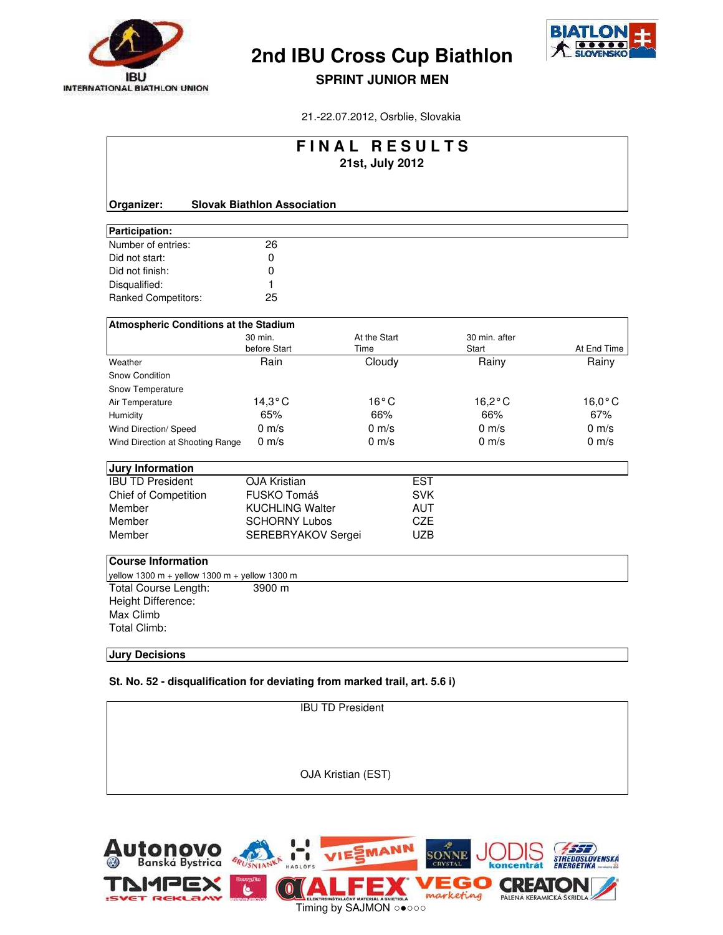



#### **SPRINT JUNIOR MEN**

21.-22.07.2012, Osrblie, Slovakia

| FINAL RESULTS<br>21st, July 2012              |                                    |                 |            |                  |                  |  |  |  |
|-----------------------------------------------|------------------------------------|-----------------|------------|------------------|------------------|--|--|--|
|                                               |                                    |                 |            |                  |                  |  |  |  |
| Organizer:                                    | <b>Slovak Biathlon Association</b> |                 |            |                  |                  |  |  |  |
| Participation:                                |                                    |                 |            |                  |                  |  |  |  |
| Number of entries:                            | 26                                 |                 |            |                  |                  |  |  |  |
| Did not start:                                | 0                                  |                 |            |                  |                  |  |  |  |
| Did not finish:                               | 0                                  |                 |            |                  |                  |  |  |  |
| Disqualified:                                 | 1                                  |                 |            |                  |                  |  |  |  |
| Ranked Competitors:                           | 25                                 |                 |            |                  |                  |  |  |  |
| Atmospheric Conditions at the Stadium         |                                    |                 |            |                  |                  |  |  |  |
|                                               | 30 min.                            | At the Start    |            | 30 min. after    |                  |  |  |  |
|                                               | before Start                       | Time            |            | Start            | At End Time      |  |  |  |
| Weather                                       | Rain                               | Cloudy          |            | Rainy            | Rainy            |  |  |  |
| Snow Condition                                |                                    |                 |            |                  |                  |  |  |  |
| Snow Temperature                              |                                    |                 |            |                  |                  |  |  |  |
| Air Temperature                               | $14,3^{\circ}$ C                   | $16^{\circ}$ C  |            | $16,2^{\circ}$ C | $16,0^{\circ}$ C |  |  |  |
| Humidity                                      | 65%                                | 66%             |            | 66%              | 67%              |  |  |  |
| Wind Direction/ Speed                         | $0 \text{ m/s}$                    | $0 \text{ m/s}$ |            | $0 \text{ m/s}$  | $0 \text{ m/s}$  |  |  |  |
| Wind Direction at Shooting Range              | $0 \text{ m/s}$                    | $0 \text{ m/s}$ |            | $0 \text{ m/s}$  | $0 \text{ m/s}$  |  |  |  |
| <b>Jury Information</b>                       |                                    |                 |            |                  |                  |  |  |  |
| <b>IBU TD President</b>                       | <b>OJA Kristian</b>                |                 | <b>EST</b> |                  |                  |  |  |  |
| <b>Chief of Competition</b>                   | FUSKO Tomáš                        |                 | <b>SVK</b> |                  |                  |  |  |  |
| Member                                        | <b>KUCHLING Walter</b>             |                 | <b>AUT</b> |                  |                  |  |  |  |
| Member                                        | <b>SCHORNY Lubos</b>               |                 | <b>CZE</b> |                  |                  |  |  |  |
| Member                                        | SEREBRYAKOV Sergei                 |                 | <b>UZB</b> |                  |                  |  |  |  |
| <b>Course Information</b>                     |                                    |                 |            |                  |                  |  |  |  |
| yellow 1300 m + yellow 1300 m + yellow 1300 m |                                    |                 |            |                  |                  |  |  |  |
| Total Course Length:                          | 3900 m                             |                 |            |                  |                  |  |  |  |
| Height Difference:                            |                                    |                 |            |                  |                  |  |  |  |
| Max Climb                                     |                                    |                 |            |                  |                  |  |  |  |
| <b>Total Climb:</b>                           |                                    |                 |            |                  |                  |  |  |  |
|                                               |                                    |                 |            |                  |                  |  |  |  |

#### **Jury Decisions**

**St. No. 52 - disqualification for deviating from marked trail, art. 5.6 i)**

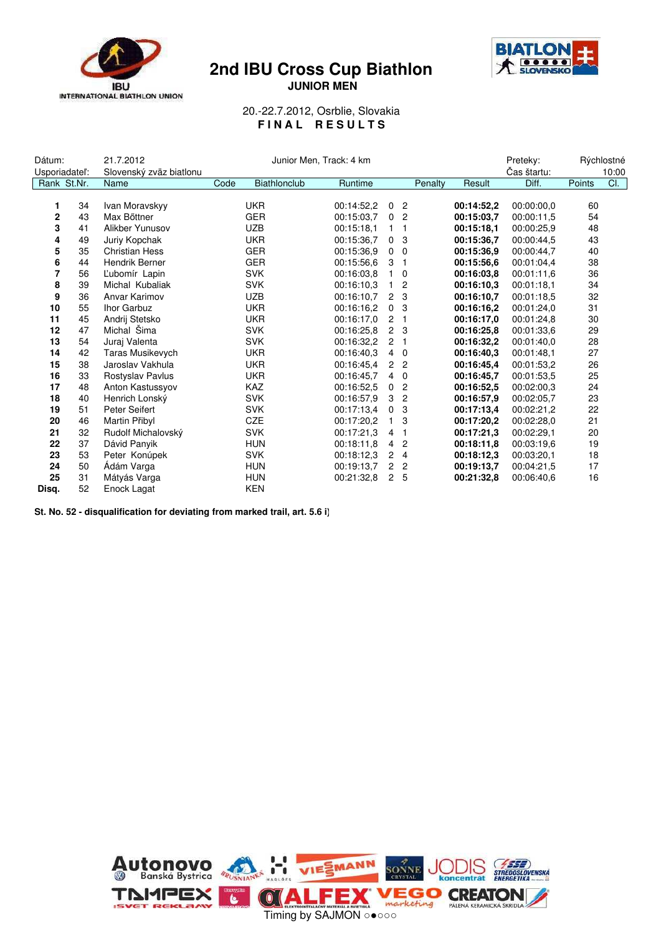

### **2nd IBU Cross Cup Biathlon JUNIOR MEN**



20.-22.7.2012, Osrblie, Slovakia **F I N A L R E S U L T S**

| Dátum:         |    | 21.7.2012               | Junior Men, Track: 4 km |              |            |                      | Preteky:       |            | Rýchlostné  |        |       |
|----------------|----|-------------------------|-------------------------|--------------|------------|----------------------|----------------|------------|-------------|--------|-------|
| Usporiadatel': |    | Slovenský zväz biatlonu |                         |              |            |                      |                |            | Čas štartu: |        | 10:00 |
| Rank St.Nr.    |    | Name                    | Code                    | Biathlonclub | Runtime    |                      | Penalty        | Result     | Diff.       | Points | CI.   |
|                |    |                         |                         |              |            |                      |                |            |             |        |       |
| 1              | 34 | Ivan Moravskyy          |                         | <b>UKR</b>   | 00:14:52.2 | $\mathbf 0$          | $\overline{2}$ | 00:14:52,2 | 00:00:00.0  | 60     |       |
| 2              | 43 | Max Bőttner             |                         | <b>GER</b>   | 00:15:03.7 | 0                    | 2              | 00:15:03.7 | 00:00:11.5  | 54     |       |
| 3              | 41 | Alikber Yunusov         |                         | <b>UZB</b>   | 00:15:18.1 | 1                    | 1              | 00:15:18.1 | 00:00:25.9  | 48     |       |
| 4              | 49 | Juriy Kopchak           |                         | <b>UKR</b>   | 00:15:36.7 | 0                    | 3              | 00:15:36.7 | 00:00:44.5  | 43     |       |
| 5              | 35 | <b>Christian Hess</b>   |                         | <b>GER</b>   | 00:15:36.9 | $\mathbf{0}$         | $\mathbf 0$    | 00:15:36.9 | 00:00:44,7  | 40     |       |
| 6              | 44 | <b>Hendrik Berner</b>   |                         | <b>GER</b>   | 00:15:56.6 | 3                    | -1             | 00:15:56.6 | 00:01:04.4  | 38     |       |
| 7              | 56 | L'ubomír Lapin          |                         | <b>SVK</b>   | 00:16:03.8 | $\mathbf{1}$         | $\mathbf 0$    | 00:16:03.8 | 00:01:11.6  | 36     |       |
| 8              | 39 | Michal Kubaliak         |                         | <b>SVK</b>   | 00:16:10.3 | 1                    | 2              | 00:16:10.3 | 00:01:18.1  | 34     |       |
| 9              | 36 | Anvar Karimov           |                         | <b>UZB</b>   | 00:16:10.7 | $\mathbf{2}^{\circ}$ | 3              | 00:16:10,7 | 00:01:18.5  | 32     |       |
| 10             | 55 | Ihor Garbuz             |                         | <b>UKR</b>   | 00:16:16.2 | 0                    | 3              | 00:16:16,2 | 00:01:24.0  | 31     |       |
| 11             | 45 | Andrij Stetsko          |                         | <b>UKR</b>   | 00:16:17.0 | $\overline{2}$       | -1             | 00:16:17.0 | 00:01:24.8  | 30     |       |
| 12             | 47 | Michal Šima             |                         | <b>SVK</b>   | 00:16:25.8 | $\overline{2}$       | 3              | 00:16:25.8 | 00:01:33.6  | 29     |       |
| 13             | 54 | Juraj Valenta           |                         | <b>SVK</b>   | 00:16:32.2 | $2^{\circ}$          | 1              | 00:16:32,2 | 00:01:40.0  | 28     |       |
| 14             | 42 | <b>Taras Musikevych</b> |                         | <b>UKR</b>   | 00:16:40.3 | $\overline{4}$       | $\mathbf 0$    | 00:16:40.3 | 00:01:48.1  | 27     |       |
| 15             | 38 | Jaroslav Vakhula        |                         | <b>UKR</b>   | 00:16:45.4 | $\overline{2}$       | $\overline{2}$ | 00:16:45.4 | 00:01:53,2  | 26     |       |
| 16             | 33 | Rostyslav Pavlus        |                         | <b>UKR</b>   | 00:16:45.7 | 4                    | $\mathbf{0}$   | 00:16:45.7 | 00:01:53.5  | 25     |       |
| 17             | 48 | Anton Kastussyov        |                         | <b>KAZ</b>   | 00:16:52.5 | 0                    | $\overline{c}$ | 00:16:52.5 | 00:02:00.3  | 24     |       |
| 18             | 40 | Henrich Lonský          |                         | <b>SVK</b>   | 00:16:57.9 | 3                    | $\overline{2}$ | 00:16:57.9 | 00:02:05.7  | 23     |       |
| 19             | 51 | Peter Seifert           |                         | <b>SVK</b>   | 00:17:13.4 | 0                    | 3              | 00:17:13,4 | 00:02:21,2  | 22     |       |
| 20             | 46 | Martin Přibyl           |                         | <b>CZE</b>   | 00:17:20.2 | 1                    | 3              | 00:17:20,2 | 00:02:28.0  | 21     |       |
| 21             | 32 | Rudolf Michalovský      |                         | <b>SVK</b>   | 00:17:21.3 | $\overline{4}$       |                | 00:17:21.3 | 00:02:29.1  | 20     |       |
| 22             | 37 | Dávid Panyik            |                         | <b>HUN</b>   | 00:18:11.8 | 4                    | 2              | 00:18:11.8 | 00:03:19.6  | 19     |       |
| 23             | 53 | Peter Konúpek           |                         | <b>SVK</b>   | 00:18:12.3 | $\overline{2}$       | $\overline{4}$ | 00:18:12,3 | 00:03:20,1  | 18     |       |
| 24             | 50 | Ádám Varga              |                         | <b>HUN</b>   | 00:19:13.7 | $\overline{2}$       | 2              | 00:19:13.7 | 00:04:21.5  | 17     |       |
| 25             | 31 | Mátyás Varga            |                         | <b>HUN</b>   | 00:21:32.8 | $\overline{2}$       | -5             | 00:21:32.8 | 00:06:40.6  | 16     |       |
| Disq.          | 52 | Enock Lagat             |                         | <b>KEN</b>   |            |                      |                |            |             |        |       |

**St. No. 52 - disqualification for deviating from marked trail, art. 5.6 i)**

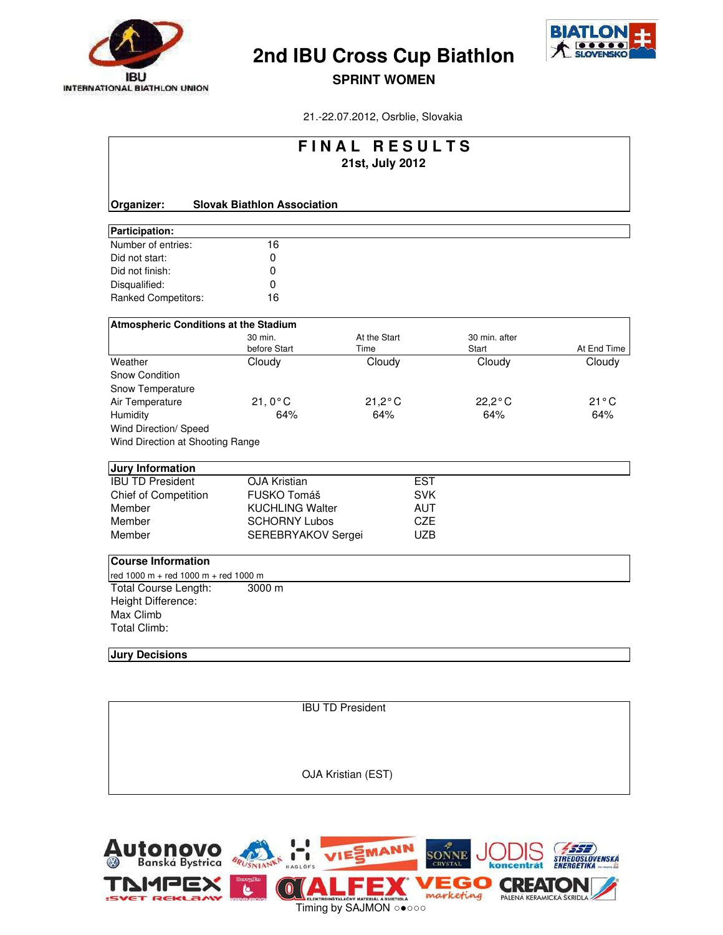



**SPRINT WOMEN**

21.-22.07.2012, Osrblie, Slovakia

| FINAL RESULTS<br>21st, July 2012             |                                    |                      |            |                        |                |  |  |  |  |
|----------------------------------------------|------------------------------------|----------------------|------------|------------------------|----------------|--|--|--|--|
|                                              |                                    |                      |            |                        |                |  |  |  |  |
| Organizer:                                   | <b>Slovak Biathlon Association</b> |                      |            |                        |                |  |  |  |  |
| Participation:                               |                                    |                      |            |                        |                |  |  |  |  |
| Number of entries:                           | 16                                 |                      |            |                        |                |  |  |  |  |
| Did not start:                               | 0                                  |                      |            |                        |                |  |  |  |  |
| Did not finish:                              | 0                                  |                      |            |                        |                |  |  |  |  |
| Disqualified:                                | 0                                  |                      |            |                        |                |  |  |  |  |
| <b>Ranked Competitors:</b>                   | 16                                 |                      |            |                        |                |  |  |  |  |
| <b>Atmospheric Conditions at the Stadium</b> |                                    |                      |            |                        |                |  |  |  |  |
|                                              | 30 min.<br>before Start            | At the Start<br>Time |            | 30 min. after<br>Start | At End Time    |  |  |  |  |
| Weather                                      | Cloudy                             | Cloudy               |            | Cloudy                 | Cloudy         |  |  |  |  |
| Snow Condition                               |                                    |                      |            |                        |                |  |  |  |  |
| Snow Temperature                             |                                    |                      |            |                        |                |  |  |  |  |
| Air Temperature                              | $21,0^{\circ}$ C                   | $21,2^{\circ}$ C     |            | $22,2^{\circ}$ C       | $21^{\circ}$ C |  |  |  |  |
| Humidity                                     | 64%                                | 64%                  |            | 64%                    | 64%            |  |  |  |  |
| Wind Direction/ Speed                        |                                    |                      |            |                        |                |  |  |  |  |
| Wind Direction at Shooting Range             |                                    |                      |            |                        |                |  |  |  |  |
| <b>Jury Information</b>                      |                                    |                      |            |                        |                |  |  |  |  |
| <b>IBU TD President</b>                      | <b>OJA Kristian</b>                |                      | <b>EST</b> |                        |                |  |  |  |  |
| <b>Chief of Competition</b>                  | FUSKO Tomáš                        |                      | <b>SVK</b> |                        |                |  |  |  |  |
| Member                                       | <b>KUCHLING Walter</b>             |                      | <b>AUT</b> |                        |                |  |  |  |  |
| Member                                       | <b>SCHORNY Lubos</b>               |                      | <b>CZE</b> |                        |                |  |  |  |  |
| Member                                       | SEREBRYAKOV Sergei                 |                      | <b>UZB</b> |                        |                |  |  |  |  |
| <b>Course Information</b>                    |                                    |                      |            |                        |                |  |  |  |  |
| red 1000 m + red 1000 m + red 1000 m         |                                    |                      |            |                        |                |  |  |  |  |
| Total Course Length:                         | 3000 m                             |                      |            |                        |                |  |  |  |  |
| Height Difference:                           |                                    |                      |            |                        |                |  |  |  |  |
| Max Climb                                    |                                    |                      |            |                        |                |  |  |  |  |
| <b>Total Climb:</b>                          |                                    |                      |            |                        |                |  |  |  |  |
| <b>Jury Decisions</b>                        |                                    |                      |            |                        |                |  |  |  |  |

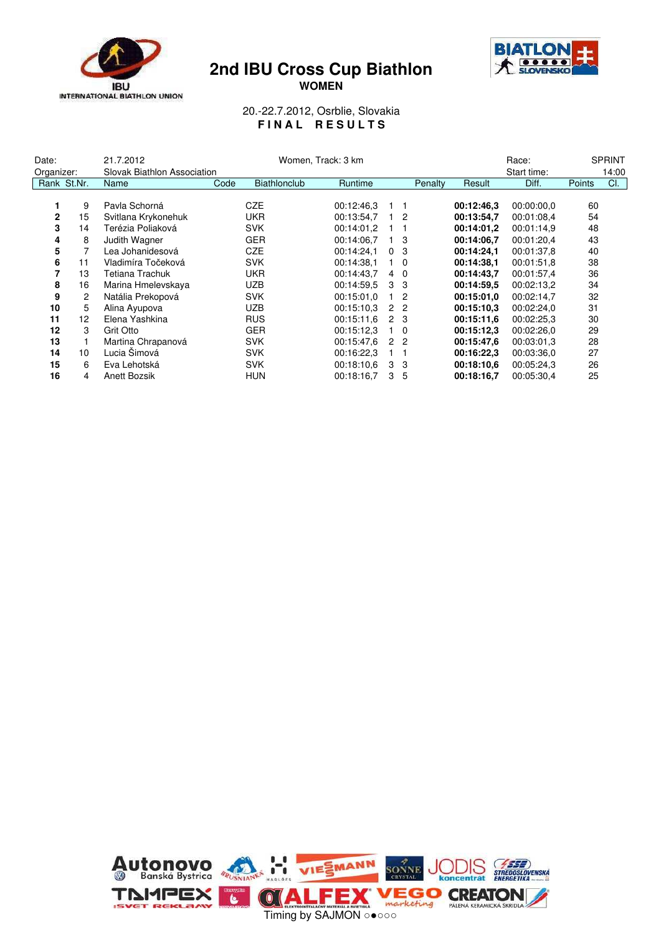



**WOMEN**

#### 20.-22.7.2012, Osrblie, Slovakia **F I N A L R E S U L T S**

| Date:        | 21.7.2012<br>Women, Track: 3 km |                             |      |                     |            | Race: | <b>SPRINT</b>  |         |            |             |        |       |
|--------------|---------------------------------|-----------------------------|------|---------------------|------------|-------|----------------|---------|------------|-------------|--------|-------|
| Organizer:   |                                 | Slovak Biathlon Association |      |                     |            |       |                |         |            | Start time: |        | 14:00 |
| Rank St.Nr.  |                                 | Name                        | Code | <b>Biathlonclub</b> | Runtime    |       |                | Penalty | Result     | Diff.       | Points | CI.   |
|              |                                 |                             |      |                     |            |       |                |         |            |             |        |       |
|              | 9                               | Pavla Schorná               |      | <b>CZE</b>          | 00:12:46.3 |       |                |         | 00:12:46.3 | 00:00:00.0  | 60     |       |
| $\mathbf{2}$ | 15                              | Svitlana Krykonehuk         |      | <b>UKR</b>          | 00:13:54,7 |       | $1\quad 2$     |         | 00:13:54,7 | 00:01:08.4  | 54     |       |
| 3            | 14                              | Terézia Poliaková           |      | <b>SVK</b>          | 00:14:01.2 |       |                |         | 00:14:01.2 | 00:01:14,9  | 48     |       |
| 4            | 8                               | Judith Wagner               |      | <b>GER</b>          | 00:14:06.7 |       | 1 <sub>3</sub> |         | 00:14:06.7 | 00:01:20.4  | 43     |       |
| 5            |                                 | Lea Johanidesová            |      | <b>CZE</b>          | 00:14:24.1 |       | 0 <sup>3</sup> |         | 00:14:24.1 | 00:01:37,8  | 40     |       |
| 6            | 11                              | Vladimíra Točeková          |      | <b>SVK</b>          | 00:14:38.1 |       | $1\quad$ 0     |         | 00:14:38.1 | 00:01:51.8  | 38     |       |
| 7            | 13                              | Tetiana Trachuk             |      | <b>UKR</b>          | 00:14:43.7 | 4     | $\Omega$       |         | 00:14:43.7 | 00:01:57.4  | 36     |       |
| 8            | 16                              | Marina Hmelevskaya          |      | <b>UZB</b>          | 00:14:59.5 | 3     | -3             |         | 00:14:59.5 | 00:02:13.2  | 34     |       |
| 9            | 2                               | Natália Prekopová           |      | <b>SVK</b>          | 00:15:01.0 |       | $\overline{2}$ |         | 00:15:01.0 | 00:02:14.7  | 32     |       |
| 10           | 5                               | Alina Ayupova               |      | <b>UZB</b>          | 00:15:10.3 |       | 2 2            |         | 00:15:10.3 | 00:02:24,0  | 31     |       |
| 11           | 12                              | Elena Yashkina              |      | <b>RUS</b>          | 00:15:11.6 |       | 2 3            |         | 00:15:11.6 | 00:02:25.3  | 30     |       |
| 12           | 3                               | Grit Otto                   |      | <b>GER</b>          | 00:15:12.3 |       | $1\quad 0$     |         | 00:15:12.3 | 00:02:26.0  | 29     |       |
| 13           |                                 | Martina Chrapanová          |      | <b>SVK</b>          | 00:15:47.6 |       | 2 <sub>2</sub> |         | 00:15:47.6 | 00:03:01.3  | 28     |       |
| 14           | 10                              | Lucia Šimová                |      | <b>SVK</b>          | 00:16:22.3 |       |                |         | 00:16:22.3 | 00:03:36.0  | 27     |       |
| 15           | 6                               | Eva Lehotská                |      | <b>SVK</b>          | 00:18:10.6 | 3     | -3             |         | 00:18:10.6 | 00:05:24,3  | 26     |       |
| 16           | 4                               | Anett Bozsik                |      | <b>HUN</b>          | 00:18:16.7 | 3     | 5              |         | 00:18:16,7 | 00:05:30.4  | 25     |       |

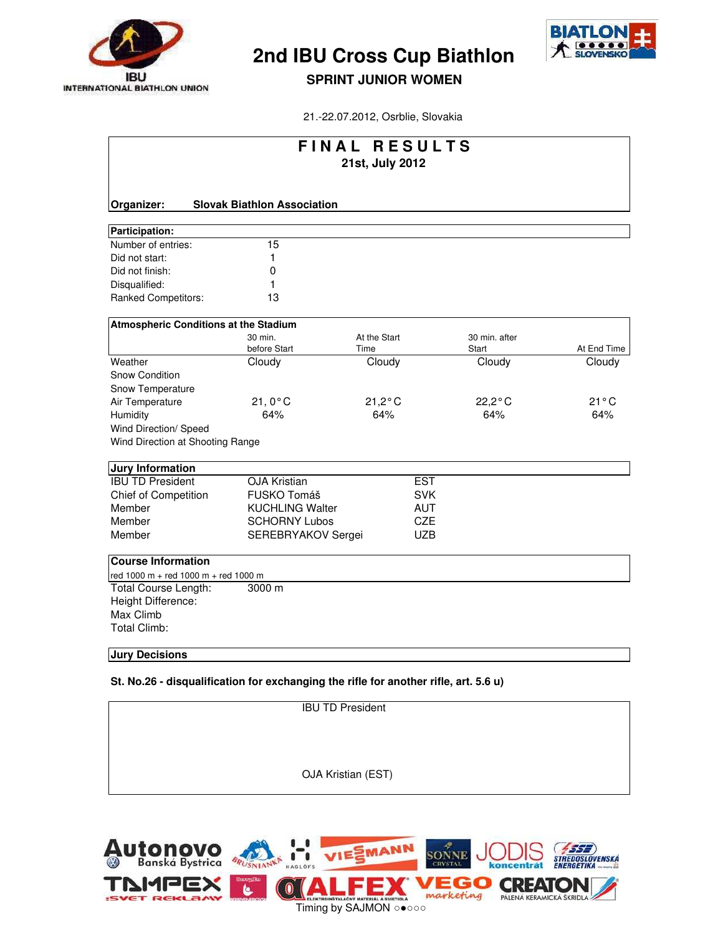



## **SPRINT JUNIOR WOMEN**

21.-22.07.2012, Osrblie, Slovakia

| FINAL RESULTS                                |                                    |                      |                        |             |  |  |  |  |
|----------------------------------------------|------------------------------------|----------------------|------------------------|-------------|--|--|--|--|
|                                              |                                    | 21st, July 2012      |                        |             |  |  |  |  |
| Organizer:                                   | <b>Slovak Biathlon Association</b> |                      |                        |             |  |  |  |  |
| Participation:                               |                                    |                      |                        |             |  |  |  |  |
| Number of entries:                           | 15                                 |                      |                        |             |  |  |  |  |
| Did not start:                               | 1                                  |                      |                        |             |  |  |  |  |
| Did not finish:                              | 0                                  |                      |                        |             |  |  |  |  |
| Disqualified:                                | 1                                  |                      |                        |             |  |  |  |  |
| Ranked Competitors:                          | 13                                 |                      |                        |             |  |  |  |  |
| <b>Atmospheric Conditions at the Stadium</b> |                                    |                      |                        |             |  |  |  |  |
|                                              | 30 min.<br>before Start            | At the Start<br>Time | 30 min. after<br>Start | At End Time |  |  |  |  |
| Weather                                      | Cloudy                             | Cloudy               | Cloudy                 | Cloudy      |  |  |  |  |
| Snow Condition                               |                                    |                      |                        |             |  |  |  |  |
| Snow Temperature                             |                                    |                      |                        |             |  |  |  |  |
| Air Temperature                              | $21,0^{\circ}$ C                   | $21,2^{\circ}$ C     | $22,2^{\circ}$ C       | 21°C        |  |  |  |  |
| Humidity                                     | 64%                                | 64%                  | 64%                    | 64%         |  |  |  |  |
| Wind Direction/ Speed                        |                                    |                      |                        |             |  |  |  |  |
| Wind Direction at Shooting Range             |                                    |                      |                        |             |  |  |  |  |
| <b>Jury Information</b>                      |                                    |                      |                        |             |  |  |  |  |
| <b>IBU TD President</b>                      | <b>OJA Kristian</b>                | <b>EST</b>           |                        |             |  |  |  |  |
| Chief of Competition                         | FUSKO Tomáš                        | <b>SVK</b>           |                        |             |  |  |  |  |
| Member                                       | <b>KUCHLING Walter</b>             | <b>AUT</b>           |                        |             |  |  |  |  |
| Member                                       | <b>SCHORNY Lubos</b>               | <b>CZE</b>           |                        |             |  |  |  |  |
| Member                                       | SEREBRYAKOV Sergei                 | <b>UZB</b>           |                        |             |  |  |  |  |
| <b>Course Information</b>                    |                                    |                      |                        |             |  |  |  |  |
| red 1000 m + red 1000 m + red 1000 m         |                                    |                      |                        |             |  |  |  |  |
| Total Course Length:                         | 3000 m                             |                      |                        |             |  |  |  |  |
| Height Difference:                           |                                    |                      |                        |             |  |  |  |  |
| Max Climb                                    |                                    |                      |                        |             |  |  |  |  |
| <b>Total Climb:</b>                          |                                    |                      |                        |             |  |  |  |  |
| <b>Jury Decisions</b>                        |                                    |                      |                        |             |  |  |  |  |

**St. No.26 - disqualification for exchanging the rifle for another rifle, art. 5.6 u)**

| <b>IBU TD President</b> |  |
|-------------------------|--|
|                         |  |
|                         |  |
| OJA Kristian (EST)      |  |
|                         |  |

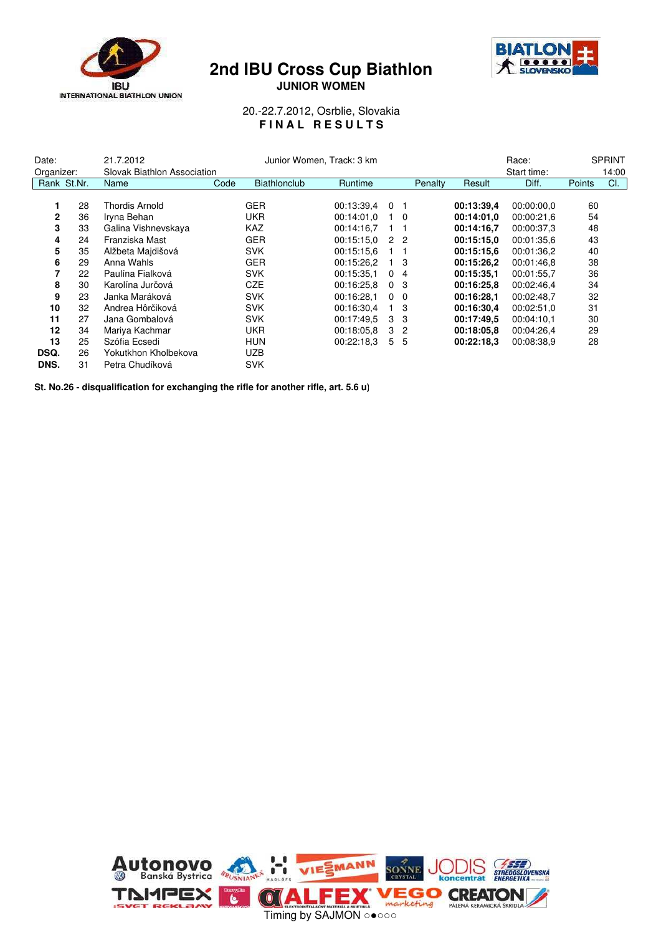

### **2nd IBU Cross Cup Biathlon JUNIOR WOMEN**



20.-22.7.2012, Osrblie, Slovakia **FINAL RESULTS** 

| 21.7.2012<br>Date:<br>Organizer: |             | Junior Women, Track: 3 km<br>Slovak Biathlon Association |      |                          |                          |                              | Race:<br>Start time: |                          | <b>SPRINT</b><br>14:00   |          |     |
|----------------------------------|-------------|----------------------------------------------------------|------|--------------------------|--------------------------|------------------------------|----------------------|--------------------------|--------------------------|----------|-----|
|                                  | Rank St.Nr. | Name                                                     | Code | Biathlonclub             | Runtime                  |                              | Penalty              | Result                   | Diff.                    | Points   | CI. |
| 1<br>$\mathbf{2}$                | 28<br>36    | Thordis Arnold<br>Iryna Behan                            |      | <b>GER</b><br><b>UKR</b> | 00:13:39.4<br>00:14:01.0 | 0 <sub>1</sub><br>$1\quad 0$ |                      | 00:13:39,4<br>00:14:01.0 | 00:00:00.0<br>00:00:21.6 | 60<br>54 |     |
| 3                                | 33          | Galina Vishnevskaya                                      |      | <b>KAZ</b>               | 00:14:16.7               |                              |                      | 00:14:16.7               | 00:00:37.3               | 48       |     |
| 4                                | 24          | Franziska Mast                                           |      | <b>GER</b>               | 00:15:15.0               | 2 <sub>2</sub>               |                      | 00:15:15.0               | 00:01:35.6               | 43       |     |
| 5                                | 35          | Alžbeta Majdišová                                        |      | <b>SVK</b>               | 00:15:15.6               |                              |                      | 00:15:15.6               | 00:01:36.2               | 40       |     |
| 6                                | 29          | Anna Wahls                                               |      | <b>GER</b>               | 00:15:26.2               | 1 <sub>3</sub>               |                      | 00:15:26.2               | 00:01:46.8               | 38       |     |
|                                  | 22          | Paulína Fialková                                         |      | <b>SVK</b>               | 00:15:35.1               | 0 <sub>4</sub>               |                      | 00:15:35.1               | 00:01:55,7               | 36       |     |
| 8                                | 30          | Karolína Jurčová                                         |      | <b>CZE</b>               | 00:16:25.8               | 0 <sup>3</sup>               |                      | 00:16:25.8               | 00:02:46.4               | 34       |     |
| 9                                | 23          | Janka Maráková                                           |      | <b>SVK</b>               | 00:16:28.1               | $\Omega$                     | $\Omega$             | 00:16:28.1               | 00:02:48,7               | 32       |     |
| 10                               | 32          | Andrea Hôrčiková                                         |      | <b>SVK</b>               | 00:16:30.4               |                              | -3                   | 00:16:30,4               | 00:02:51.0               | 31       |     |
| 11                               | 27          | Jana Gombalová                                           |      | <b>SVK</b>               | 00:17:49.5               | 3                            | -3                   | 00:17:49.5               | 00:04:10.1               | 30       |     |
| 12                               | 34          | Mariya Kachmar                                           |      | <b>UKR</b>               | 00:18:05.8               | 3                            | $\overline{2}$       | 00:18:05.8               | 00:04:26.4               | 29       |     |
| 13                               | 25          | Szófia Ecsedi                                            |      | <b>HUN</b>               | 00:22:18.3               | 5                            | -5                   | 00:22:18.3               | 00:08:38.9               | 28       |     |
| DSQ.                             | 26          | Yokutkhon Kholbekova                                     |      | <b>UZB</b>               |                          |                              |                      |                          |                          |          |     |
| DNS.                             | 31          | Petra Chudíková                                          |      | <b>SVK</b>               |                          |                              |                      |                          |                          |          |     |

**St. No.26 - disqualification for exchanging the rifle for another rifle, art. 5.6 u)**

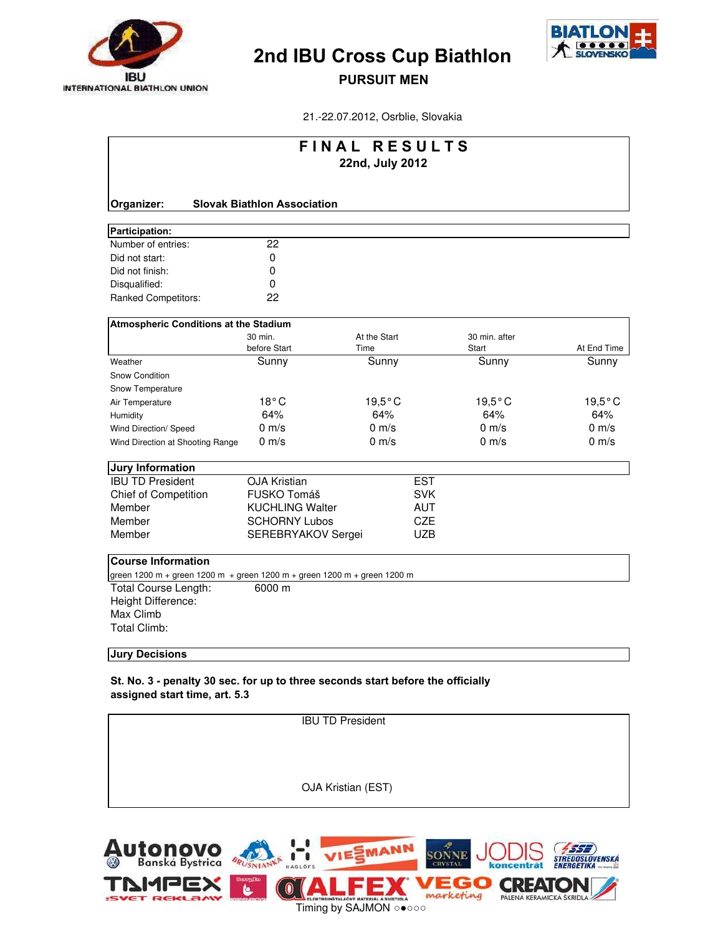



PURSUIT MEN

21.-22.07.2012, Osrblie, Slovakia

| FINAL RESULTS                                                            |                                    |                  |            |                  |                  |  |  |  |
|--------------------------------------------------------------------------|------------------------------------|------------------|------------|------------------|------------------|--|--|--|
|                                                                          |                                    | 22nd, July 2012  |            |                  |                  |  |  |  |
|                                                                          |                                    |                  |            |                  |                  |  |  |  |
| Organizer:                                                               | <b>Slovak Biathlon Association</b> |                  |            |                  |                  |  |  |  |
| Participation:                                                           |                                    |                  |            |                  |                  |  |  |  |
| Number of entries:                                                       | 22                                 |                  |            |                  |                  |  |  |  |
| Did not start:                                                           | 0                                  |                  |            |                  |                  |  |  |  |
| Did not finish:                                                          | 0                                  |                  |            |                  |                  |  |  |  |
| Disqualified:                                                            | $\Omega$                           |                  |            |                  |                  |  |  |  |
| <b>Ranked Competitors:</b>                                               | 22                                 |                  |            |                  |                  |  |  |  |
| <b>Atmospheric Conditions at the Stadium</b>                             |                                    |                  |            |                  |                  |  |  |  |
|                                                                          | 30 min.                            | At the Start     |            | 30 min. after    |                  |  |  |  |
|                                                                          | before Start                       | Time             |            | Start            | At End Time      |  |  |  |
| Weather                                                                  | Sunny                              | Sunny            |            | Sunny            | Sunny            |  |  |  |
| <b>Snow Condition</b>                                                    |                                    |                  |            |                  |                  |  |  |  |
| Snow Temperature                                                         |                                    |                  |            |                  |                  |  |  |  |
| Air Temperature                                                          | $18^{\circ}$ C                     | $19,5^{\circ}$ C |            | $19,5^{\circ}$ C | $19,5^{\circ}$ C |  |  |  |
| Humidity                                                                 | 64%                                | 64%              |            | 64%              | 64%              |  |  |  |
| Wind Direction/ Speed                                                    | $0 \text{ m/s}$                    | $0 \text{ m/s}$  |            | $0 \text{ m/s}$  | $0 \text{ m/s}$  |  |  |  |
| Wind Direction at Shooting Range                                         | $0 \text{ m/s}$                    | $0 \text{ m/s}$  |            | $0 \text{ m/s}$  | $0 \text{ m/s}$  |  |  |  |
| Jury Information                                                         |                                    |                  |            |                  |                  |  |  |  |
| <b>IBU TD President</b>                                                  | <b>OJA Kristian</b>                |                  | <b>EST</b> |                  |                  |  |  |  |
| <b>Chief of Competition</b>                                              | FUSKO Tomáš                        |                  | <b>SVK</b> |                  |                  |  |  |  |
| Member                                                                   | <b>KUCHLING Walter</b>             |                  | <b>AUT</b> |                  |                  |  |  |  |
| Member                                                                   | <b>SCHORNY Lubos</b>               |                  | <b>CZE</b> |                  |                  |  |  |  |
| Member                                                                   | SEREBRYAKOV Sergei                 |                  | <b>UZB</b> |                  |                  |  |  |  |
| <b>Course Information</b>                                                |                                    |                  |            |                  |                  |  |  |  |
| green 1200 m + green 1200 m + green 1200 m + green 1200 m + green 1200 m |                                    |                  |            |                  |                  |  |  |  |
| Total Course Length:                                                     | 6000 m                             |                  |            |                  |                  |  |  |  |
| Height Difference:                                                       |                                    |                  |            |                  |                  |  |  |  |
| Max Climb                                                                |                                    |                  |            |                  |                  |  |  |  |
| <b>Total Climb:</b>                                                      |                                    |                  |            |                  |                  |  |  |  |
|                                                                          |                                    |                  |            |                  |                  |  |  |  |

#### Jury Decisions

St. No. 3 - penalty 30 sec. for up to three seconds start before the officially assigned start time, art. 5.3

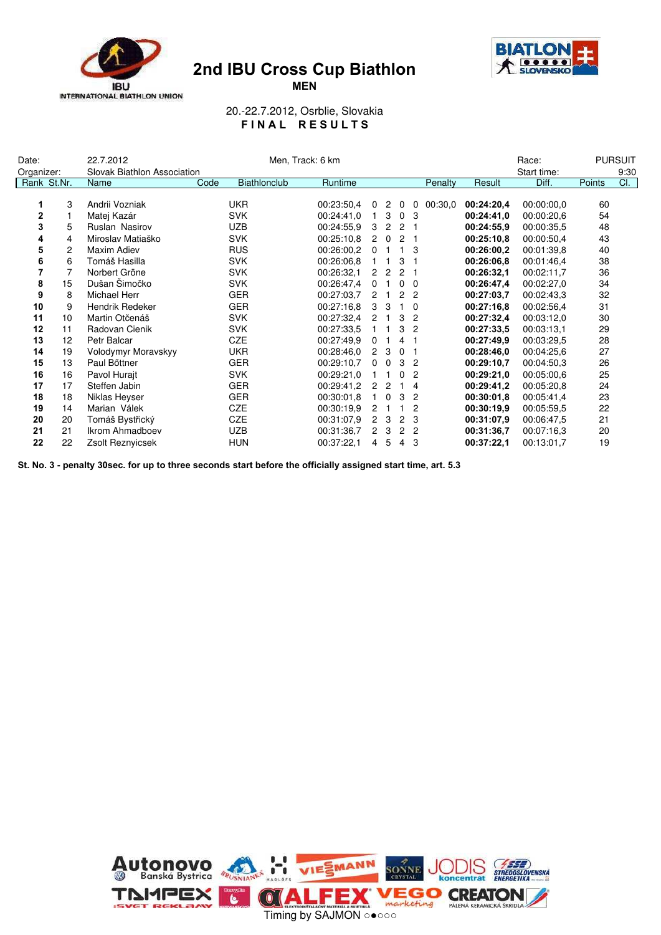



MEN

20.-22.7.2012, Osrblie, Slovakia FINAL RESULTS

| Date:          |                | 22.7.2012                   | Men, Track: 6 km |              |  |            |                | Race:          |                | <b>PURSUIT</b> |         |            |             |        |      |
|----------------|----------------|-----------------------------|------------------|--------------|--|------------|----------------|----------------|----------------|----------------|---------|------------|-------------|--------|------|
| Organizer:     |                | Slovak Biathlon Association |                  |              |  |            |                |                |                |                |         |            | Start time: |        | 9:30 |
|                | Rank St.Nr.    | <b>Name</b>                 | Code             | Biathlonclub |  | Runtime    |                |                |                |                | Penalty | Result     | Diff.       | Points | Cl.  |
|                |                |                             |                  |              |  |            |                |                |                |                |         |            |             |        |      |
| 1              | 3              | Andrii Vozniak              |                  | <b>UKR</b>   |  | 00:23:50.4 | 0              | $\overline{2}$ | $\mathbf 0$    | 0              | 00:30.0 | 00:24:20,4 | 00:00:00.0  | 60     |      |
| $\mathbf{2}$   |                | Matej Kazár                 |                  | <b>SVK</b>   |  | 00:24:41.0 |                | 1 <sub>3</sub> |                | 0 <sub>3</sub> |         | 00:24:41.0 | 00:00:20.6  | 54     |      |
| 3              | 5              | <b>Ruslan Nasirov</b>       |                  | <b>UZB</b>   |  | 00:24:55.9 | 3              | $\overline{2}$ |                | 2 <sub>1</sub> |         | 00:24:55.9 | 00:00:35.5  | 48     |      |
| 4              | 4              | Miroslav Matiaško           |                  | <b>SVK</b>   |  | 00:25:10.8 | $\overline{2}$ | $\Omega$       |                | 2 <sub>1</sub> |         | 00:25:10.8 | 00:00:50.4  | 43     |      |
| 5              | $\overline{2}$ | Maxim Adiev                 |                  | <b>RUS</b>   |  | 00:26:00,2 | $\overline{0}$ | $\mathbf{1}$   |                | 1 3            |         | 00:26:00,2 | 00:01:39.8  | 40     |      |
| 6              | 6              | Tomáš Hasilla               |                  | <b>SVK</b>   |  | 00:26:06.8 |                | $1 \quad 1$    |                | 3 <sub>1</sub> |         | 00:26:06.8 | 00:01:46.4  | 38     |      |
| $\overline{7}$ | 7              | Norbert Gröne               |                  | <b>SVK</b>   |  | 00:26:32,1 | $2^{\circ}$    | $\overline{2}$ |                | 2 <sub>1</sub> |         | 00:26:32.1 | 00:02:11,7  | 36     |      |
| 8              | 15             | Dušan Šimočko               |                  | <b>SVK</b>   |  | 00:26:47.4 |                | 0 <sub>1</sub> |                | $0\quad 0$     |         | 00:26:47,4 | 00:02:27.0  | 34     |      |
| 9              | 8              | Michael Herr                |                  | <b>GER</b>   |  | 00:27:03.7 |                | $2 \quad 1$    |                | 2 <sub>2</sub> |         | 00:27:03,7 | 00:02:43.3  | 32     |      |
| 10             | 9              | Hendrik Redeker             |                  | <b>GER</b>   |  | 00:27:16.8 |                | 3 <sub>3</sub> |                | $1\quad 0$     |         | 00:27:16.8 | 00:02:56,4  | 31     |      |
| 11             | 10             | Martin Otčenáš              |                  | <b>SVK</b>   |  | 00:27:32,4 |                | $2 \quad 1$    |                | 3 <sub>2</sub> |         | 00:27:32,4 | 00:03:12,0  | 30     |      |
| 12             | 11             | Radovan Cienik              |                  | <b>SVK</b>   |  | 00:27:33.5 |                | $1 \quad 1$    | 3              | $\overline{c}$ |         | 00:27:33.5 | 00:03:13.1  | 29     |      |
| 13             | 12             | Petr Balcar                 |                  | <b>CZE</b>   |  | 00:27:49.9 | $\overline{0}$ | $\overline{1}$ |                | $4 \quad 1$    |         | 00:27:49.9 | 00:03:29.5  | 28     |      |
| 14             | 19             | Volodymyr Moravskyy         |                  | <b>UKR</b>   |  | 00:28:46.0 | $\mathbf{2}$   | 3              |                | 0 <sub>1</sub> |         | 00:28:46.0 | 00:04:25.6  | 27     |      |
| 15             | 13             | Paul Böttner                |                  | <b>GER</b>   |  | 00:29:10.7 | $\overline{0}$ | $\Omega$       |                | 3 <sub>2</sub> |         | 00:29:10,7 | 00:04:50.3  | 26     |      |
| 16             | 16             | Pavol Hurajt                |                  | <b>SVK</b>   |  | 00:29:21.0 | $\mathbf{1}$   |                | $\mathbf{0}$   | $\overline{c}$ |         | 00:29:21.0 | 00:05:00,6  | 25     |      |
| 17             | 17             | Steffen Jabin               |                  | <b>GER</b>   |  | 00:29:41.2 |                | 2 <sub>2</sub> |                | $1\quad 4$     |         | 00:29:41,2 | 00:05:20.8  | 24     |      |
| 18             | 18             | Niklas Heyser               |                  | <b>GER</b>   |  | 00:30:01.8 | $\mathbf{1}$   | $\mathbf 0$    | 3              | $\overline{c}$ |         | 00:30:01.8 | 00:05:41.4  | 23     |      |
| 19             | 14             | Marian Válek                |                  | <b>CZE</b>   |  | 00:30:19.9 |                | 2 <sub>1</sub> |                | $\overline{2}$ |         | 00:30:19.9 | 00:05:59.5  | 22     |      |
| 20             | 20             | Tomáš Bystřický             |                  | CZE          |  | 00:31:07.9 |                | 2 <sub>3</sub> |                | 2 <sub>3</sub> |         | 00:31:07.9 | 00:06:47.5  | 21     |      |
| 21             | 21             | Ikrom Ahmadboev             |                  | <b>UZB</b>   |  | 00:31:36.7 | $\mathbf{2}$   | 3              |                | 2 <sub>2</sub> |         | 00:31:36,7 | 00:07:16,3  | 20     |      |
| 22             | 22             | Zsolt Reznyicsek            |                  | <b>HUN</b>   |  | 00:37:22,1 | 4              | 5              | $\overline{4}$ | 3              |         | 00:37:22,1 | 00:13:01,7  | 19     |      |

St. No. 3 - penalty 30sec. for up to three seconds start before the officially assigned start time, art. 5.3

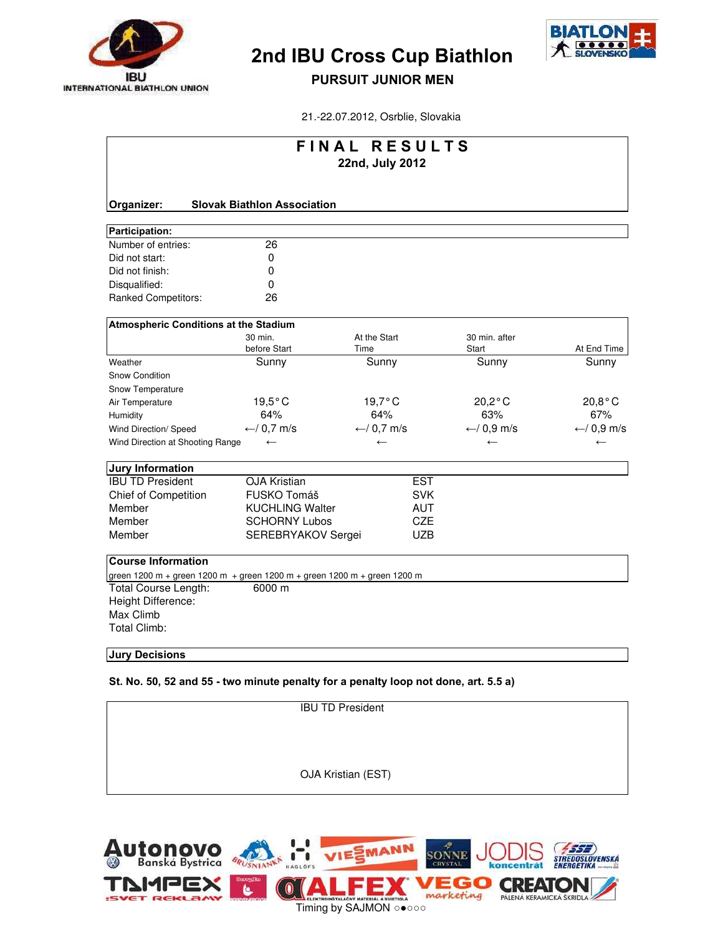



## PURSUIT JUNIOR MEN

21.-22.07.2012, Osrblie, Slovakia

| FINAL RESULTS                                |                                                                          |                  |            |                        |                  |  |  |  |  |  |  |
|----------------------------------------------|--------------------------------------------------------------------------|------------------|------------|------------------------|------------------|--|--|--|--|--|--|
|                                              | 22nd, July 2012                                                          |                  |            |                        |                  |  |  |  |  |  |  |
|                                              |                                                                          |                  |            |                        |                  |  |  |  |  |  |  |
| Organizer:                                   | <b>Slovak Biathlon Association</b>                                       |                  |            |                        |                  |  |  |  |  |  |  |
| Participation:                               |                                                                          |                  |            |                        |                  |  |  |  |  |  |  |
| Number of entries:                           | 26                                                                       |                  |            |                        |                  |  |  |  |  |  |  |
| Did not start:                               | 0                                                                        |                  |            |                        |                  |  |  |  |  |  |  |
| Did not finish:                              | 0                                                                        |                  |            |                        |                  |  |  |  |  |  |  |
| Disqualified:                                | 0                                                                        |                  |            |                        |                  |  |  |  |  |  |  |
| Ranked Competitors:                          | 26                                                                       |                  |            |                        |                  |  |  |  |  |  |  |
| <b>Atmospheric Conditions at the Stadium</b> |                                                                          |                  |            |                        |                  |  |  |  |  |  |  |
|                                              | 30 min.                                                                  | At the Start     |            | 30 min. after          |                  |  |  |  |  |  |  |
|                                              | before Start                                                             | Time             |            | Start                  | At End Time      |  |  |  |  |  |  |
| Weather                                      | Sunny                                                                    | Sunny            |            | Sunny                  | Sunny            |  |  |  |  |  |  |
| Snow Condition                               |                                                                          |                  |            |                        |                  |  |  |  |  |  |  |
| Snow Temperature                             |                                                                          |                  |            |                        |                  |  |  |  |  |  |  |
| Air Temperature                              | $19,5^{\circ}$ C                                                         | $19,7^{\circ}$ C |            | $20,2^{\circ}$ C       | $20,8^{\circ}$ C |  |  |  |  |  |  |
| Humidity                                     | 64%                                                                      | 64%              |            | 63%                    | 67%              |  |  |  |  |  |  |
| Wind Direction/ Speed                        | $\leftarrow$ / 0,7 m/s                                                   | ← $/ 0.7$ m/s    |            | $\leftarrow$ / 0,9 m/s | ← $/ 0.9$ m/s    |  |  |  |  |  |  |
| Wind Direction at Shooting Range             | $\leftarrow$                                                             | $\leftarrow$     |            | $\leftarrow$           | $\leftarrow$     |  |  |  |  |  |  |
| <b>Jury Information</b>                      |                                                                          |                  |            |                        |                  |  |  |  |  |  |  |
| <b>IBU TD President</b>                      | <b>OJA Kristian</b>                                                      |                  | <b>EST</b> |                        |                  |  |  |  |  |  |  |
| <b>Chief of Competition</b>                  | FUSKO Tomáš                                                              |                  | <b>SVK</b> |                        |                  |  |  |  |  |  |  |
| Member                                       | <b>KUCHLING Walter</b>                                                   |                  | <b>AUT</b> |                        |                  |  |  |  |  |  |  |
| Member                                       | <b>SCHORNY Lubos</b>                                                     |                  | <b>CZE</b> |                        |                  |  |  |  |  |  |  |
| Member                                       | SEREBRYAKOV Sergei                                                       |                  | <b>UZB</b> |                        |                  |  |  |  |  |  |  |
| <b>Course Information</b>                    |                                                                          |                  |            |                        |                  |  |  |  |  |  |  |
|                                              | green 1200 m + green 1200 m + green 1200 m + green 1200 m + green 1200 m |                  |            |                        |                  |  |  |  |  |  |  |
| Total Course Length:                         | 6000 m                                                                   |                  |            |                        |                  |  |  |  |  |  |  |
| Height Difference:                           |                                                                          |                  |            |                        |                  |  |  |  |  |  |  |
| Max Climb                                    |                                                                          |                  |            |                        |                  |  |  |  |  |  |  |
| <b>Total Climb:</b>                          |                                                                          |                  |            |                        |                  |  |  |  |  |  |  |
|                                              |                                                                          |                  |            |                        |                  |  |  |  |  |  |  |

#### Jury Decisions

St. No. 50, 52 and 55 - two minute penalty for a penalty loop not done, art. 5.5 a)

| OJA Kristian (EST) |  |
|--------------------|--|

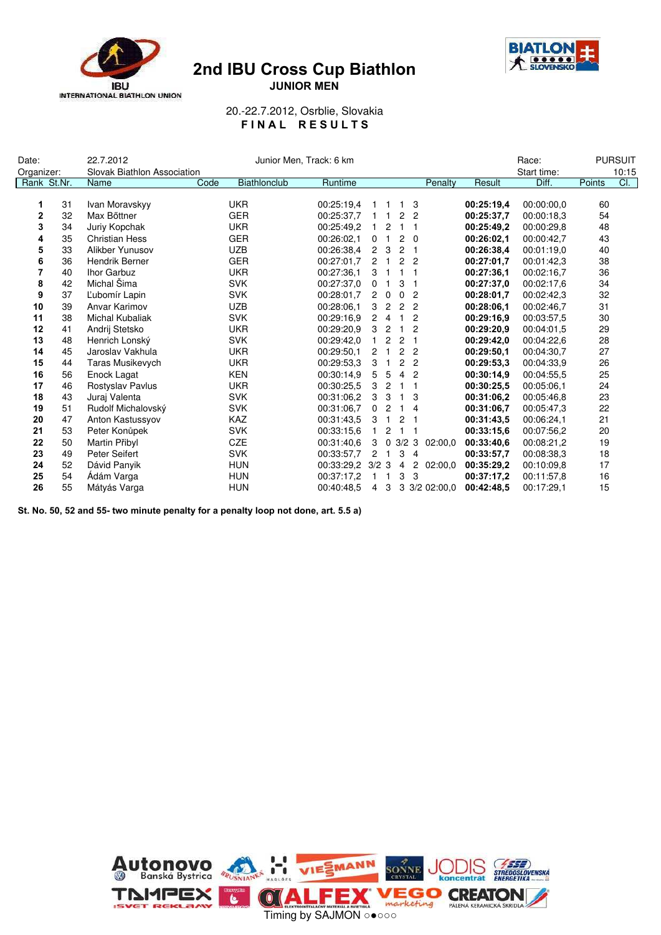





20.-22.7.2012, Osrblie, Slovakia FINAL RESULTS

| Date:          |             | 22.7.2012                   |      | Junior Men, Track: 6 km |                  |                |                |                     |                             |            | Race:       |        | <b>PURSUIT</b> |
|----------------|-------------|-----------------------------|------|-------------------------|------------------|----------------|----------------|---------------------|-----------------------------|------------|-------------|--------|----------------|
| Organizer:     |             | Slovak Biathlon Association |      |                         |                  |                |                |                     |                             |            | Start time: |        | 10:15          |
|                | Rank St.Nr. | <b>Name</b>                 | Code | Biathlonclub            | Runtime          |                |                |                     | Penalty                     | Result     | Diff.       | Points | Cl.            |
|                |             |                             |      |                         |                  |                |                |                     |                             |            |             |        |                |
| 1              | 31          | Ivan Moravskyy              |      | <b>UKR</b>              | 00:25:19.4       | 1              | $\blacksquare$ | 1                   | 3                           | 00:25:19,4 | 00:00:00,0  | 60     |                |
| $\mathbf{2}$   | 32          | Max Bőttner                 |      | <b>GER</b>              | 00:25:37.7       |                | $1 \quad 1$    | 2 <sub>2</sub>      |                             | 00:25:37.7 | 00:00:18.3  | 54     |                |
| 3              | 34          | Juriy Kopchak               |      | <b>UKR</b>              | 00:25:49.2       | $\mathbf{1}$   | $\overline{2}$ | $1 \quad 1$         |                             | 00:25:49.2 | 00:00:29.8  | 48     |                |
| 4              | 35          | <b>Christian Hess</b>       |      | <b>GER</b>              | 00:26:02.1       |                | 0 <sub>1</sub> | $2\quad 0$          |                             | 00:26:02.1 | 00:00:42.7  | 43     |                |
| 5              | 33          | Alikber Yunusov             |      | <b>UZB</b>              | 00:26:38.4       |                | 2 <sub>3</sub> | 2 <sub>1</sub>      |                             | 00:26:38.4 | 00:01:19.0  | 40     |                |
| 6              | 36          | Hendrik Berner              |      | <b>GER</b>              | 00:27:01.7       |                | $2 \quad 1$    | 2 <sub>2</sub>      |                             | 00:27:01,7 | 00:01:42,3  | 38     |                |
| $\overline{7}$ | 40          | Ihor Garbuz                 |      | <b>UKR</b>              | 00:27:36.1       |                | 3 <sub>1</sub> | $1 \quad 1$         |                             | 00:27:36.1 | 00:02:16.7  | 36     |                |
| 8              | 42          | Michal Šima                 |      | <b>SVK</b>              | 00:27:37.0       |                | 0 <sub>1</sub> | 3<br>$\overline{1}$ |                             | 00:27:37.0 | 00:02:17.6  | 34     |                |
| 9              | 37          | L'ubomír Lapin              |      | <b>SVK</b>              | 00:28:01.7       |                | $2\quad 0$     | $\Omega$            | $\overline{2}$              | 00:28:01,7 | 00:02:42.3  | 32     |                |
| 10             | 39          | Anvar Karimov               |      | <b>UZB</b>              | 00:28:06.1       | 3              | $\overline{2}$ | 2 <sub>2</sub>      |                             | 00:28:06.1 | 00:02:46,7  | 31     |                |
| 11             | 38          | Michal Kubaliak             |      | <b>SVK</b>              | 00:29:16.9       | $\mathbf{2}$   | $\overline{4}$ | $\mathbf{1}$        | $\overline{2}$              | 00:29:16.9 | 00:03:57.5  | 30     |                |
| 12             | 41          | Andrij Stetsko              |      | <b>UKR</b>              | 00:29:20.9       | 3              | $\overline{2}$ | $\mathbf{1}$        | $\overline{c}$              | 00:29:20.9 | 00:04:01.5  | 29     |                |
| 13             | 48          | Henrich Lonský              |      | <b>SVK</b>              | 00:29:42.0       | $\mathbf{1}$   | $\overline{2}$ | 2 <sub>1</sub>      |                             | 00:29:42,0 | 00:04:22.6  | 28     |                |
| 14             | 45          | Jaroslav Vakhula            |      | <b>UKR</b>              | 00:29:50.1       |                | $2 \quad 1$    | 2 <sub>2</sub>      |                             | 00:29:50,1 | 00:04:30.7  | 27     |                |
| 15             | 44          | Taras Musikevych            |      | <b>UKR</b>              | 00:29:53.3       | 3              | $\overline{1}$ | 2 <sub>2</sub>      |                             | 00:29:53.3 | 00:04:33.9  | 26     |                |
| 16             | 56          | Enock Lagat                 |      | <b>KEN</b>              | 00:30:14.9       | 5              | 5              | 4 <sup>2</sup>      |                             | 00:30:14.9 | 00:04:55.5  | 25     |                |
| 17             | 46          | Rostyslav Pavlus            |      | <b>UKR</b>              | 00:30:25.5       | 3              | $\overline{2}$ | $1 \quad 1$         |                             | 00:30:25.5 | 00:05:06.1  | 24     |                |
| 18             | 43          | Juraj Valenta               |      | <b>SVK</b>              | 00:31:06.2       | 3              | 3              | 1 <sub>3</sub>      |                             | 00:31:06.2 | 00:05:46.8  | 23     |                |
| 19             | 51          | Rudolf Michalovský          |      | <b>SVK</b>              | 00:31:06.7       | $\mathbf 0$    | $\overline{2}$ | $1 \quad 4$         |                             | 00:31:06.7 | 00:05:47.3  | 22     |                |
| 20             | 47          | Anton Kastussyov            |      | <b>KAZ</b>              | 00:31:43.5       | 3              | $\mathbf{1}$   | 2 <sub>1</sub>      |                             | 00:31:43.5 | 00:06:24,1  | 21     |                |
| 21             | 53          | Peter Konůpek               |      | <b>SVK</b>              | 00:33:15.6       | $\mathbf{1}$   | $\overline{2}$ | $1 \quad 1$         |                             | 00:33:15.6 | 00:07:56.2  | 20     |                |
| 22             | 50          | Martin Přibyl               |      | <b>CZE</b>              | 00:31:40.6       |                |                |                     | $3 \t0 \t3/2 \t3 \t02:00,0$ | 00:33:40.6 | 00:08:21,2  | 19     |                |
| 23             | 49          | Peter Seifert               |      | <b>SVK</b>              | 00:33:57.7       |                | $2 \quad 1$    | $3 \quad 4$         |                             | 00:33:57.7 | 00:08:38,3  | 18     |                |
| 24             | 52          | Dávid Panyik                |      | <b>HUN</b>              | 00:33:29.2 3/2 3 |                |                | 4                   | $\overline{2}$<br>02:00,0   | 00:35:29.2 | 00:10:09.8  | 17     |                |
| 25             | 54          | Adám Varga                  |      | <b>HUN</b>              | 00:37:17.2       |                | $1\quad1$      | 3                   | 3                           | 00:37:17.2 | 00:11:57,8  | 16     |                |
| 26             | 55          | Mátyás Varga                |      | <b>HUN</b>              | 00:40:48.5       | $\overline{4}$ | 3              |                     | 3 3/2 02:00,0               | 00:42:48.5 | 00:17:29.1  | 15     |                |

St. No. 50, 52 and 55- two minute penalty for a penalty loop not done, art. 5.5 a)

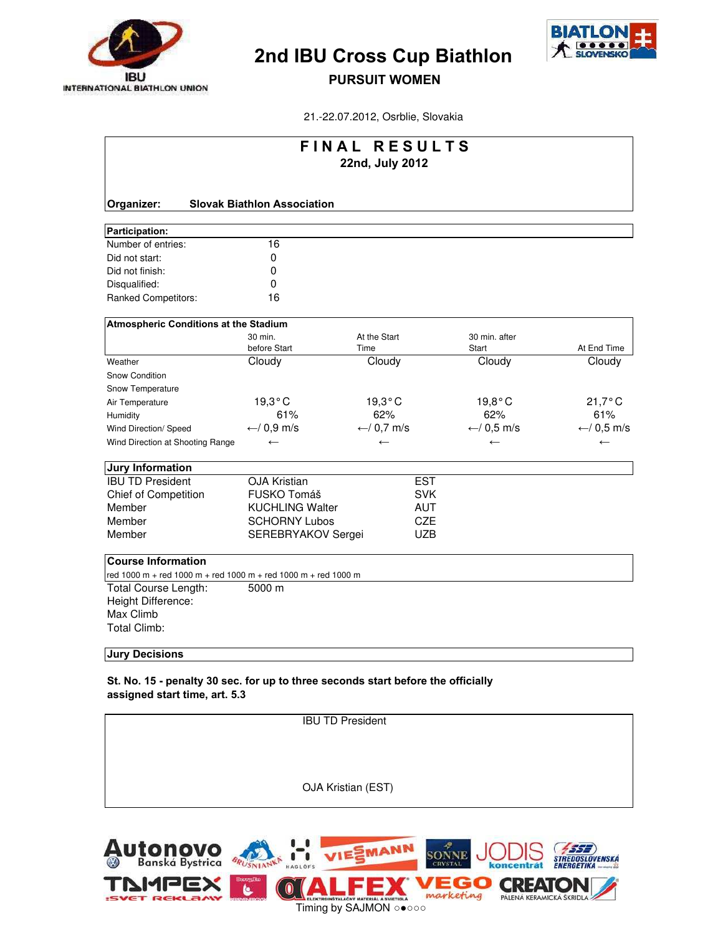



### PURSUIT WOMEN

21.-22.07.2012, Osrblie, Slovakia

|                                                                |                                    | <b>FINAL RESULTS</b>   |                        |                  |
|----------------------------------------------------------------|------------------------------------|------------------------|------------------------|------------------|
|                                                                |                                    | 22nd, July 2012        |                        |                  |
|                                                                |                                    |                        |                        |                  |
| Organizer:                                                     | <b>Slovak Biathlon Association</b> |                        |                        |                  |
| Participation:                                                 |                                    |                        |                        |                  |
| Number of entries:                                             | 16                                 |                        |                        |                  |
| Did not start:                                                 | 0                                  |                        |                        |                  |
| Did not finish:                                                | 0                                  |                        |                        |                  |
| Disqualified:                                                  | $\mathbf 0$                        |                        |                        |                  |
| Ranked Competitors:                                            | 16                                 |                        |                        |                  |
| <b>Atmospheric Conditions at the Stadium</b>                   |                                    |                        |                        |                  |
|                                                                | 30 min.                            | At the Start           | 30 min. after          |                  |
|                                                                | before Start                       | Time                   | Start                  | At End Time      |
| Weather                                                        | Cloudy                             | Cloudy                 | Cloudy                 | Cloudy           |
| <b>Snow Condition</b>                                          |                                    |                        |                        |                  |
| Snow Temperature                                               |                                    |                        |                        |                  |
| Air Temperature                                                | 19,3°C                             | $19,3^{\circ}$ C       | $19,8^{\circ}$ C       | $21,7^{\circ}$ C |
| Humidity                                                       | 61%                                | 62%                    | 62%                    | 61%              |
| Wind Direction/ Speed                                          | $\leftarrow$ / 0,9 m/s             | $\leftarrow$ / 0,7 m/s | $\leftarrow$ / 0,5 m/s | ← $/ 0,5$ m/s    |
| Wind Direction at Shooting Range                               | $\leftarrow$                       | $\leftarrow$           | $\leftarrow$           | $\leftarrow$     |
| <b>Jury Information</b>                                        |                                    |                        |                        |                  |
| <b>IBU TD President</b>                                        | <b>OJA Kristian</b>                | <b>EST</b>             |                        |                  |
| <b>Chief of Competition</b>                                    | FUSKO Tomáš                        | <b>SVK</b>             |                        |                  |
| Member                                                         | <b>KUCHLING Walter</b>             | <b>AUT</b>             |                        |                  |
| Member                                                         | <b>SCHORNY Lubos</b>               | <b>CZE</b>             |                        |                  |
| Member                                                         | SEREBRYAKOV Sergei                 | <b>UZB</b>             |                        |                  |
| <b>Course Information</b>                                      |                                    |                        |                        |                  |
| red 1000 m + red 1000 m + red 1000 m + red 1000 m + red 1000 m |                                    |                        |                        |                  |
| Total Course Length:                                           | 5000 m                             |                        |                        |                  |
| Height Difference:                                             |                                    |                        |                        |                  |
| Max Climb                                                      |                                    |                        |                        |                  |
| <b>Total Climb:</b>                                            |                                    |                        |                        |                  |
| <b>Jury Decisions</b>                                          |                                    |                        |                        |                  |

St. No. 15 - penalty 30 sec. for up to three seconds start before the officially assigned start time, art. 5.3

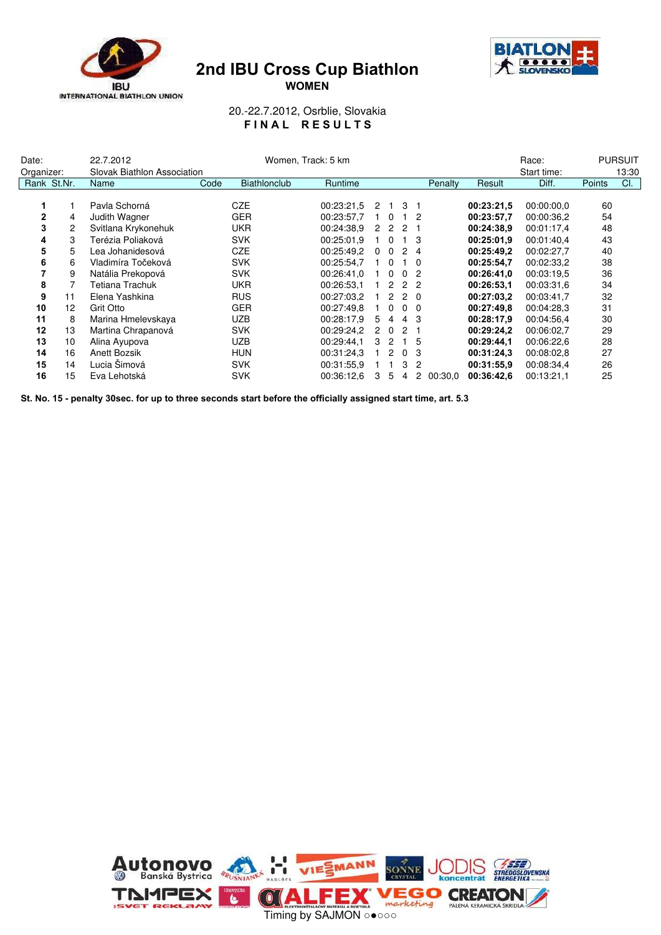





20.-22.7.2012, Osrblie, Slovakia FINAL RESULTS

| Date:      |                | 22.7.2012                   |      | Women, Track: 5 km  |            |                      |                      |                |                       |         |            | Race:       |        | <b>PURSUIT</b> |
|------------|----------------|-----------------------------|------|---------------------|------------|----------------------|----------------------|----------------|-----------------------|---------|------------|-------------|--------|----------------|
| Organizer: |                | Slovak Biathlon Association |      |                     |            |                      |                      |                |                       |         |            | Start time: |        | 13:30          |
|            | Rank St.Nr.    | Name                        | Code | <b>Biathlonclub</b> | Runtime    |                      |                      |                |                       | Penalty | Result     | Diff.       | Points | CI.            |
|            |                |                             |      |                     |            |                      |                      |                |                       |         |            |             |        |                |
| 1          |                | Pavla Schorná               |      | CZE                 | 00:23:21.5 | 2                    |                      | 3 <sub>1</sub> |                       |         | 00:23:21,5 | 00:00:00.0  | 60     |                |
| 2          | 4              | Judith Wagner               |      | <b>GER</b>          | 00:23:57.7 |                      | $1\quad$ 0           |                | - 2                   |         | 00:23:57,7 | 00:00:36,2  | 54     |                |
| 3          | $\overline{c}$ | Svitlana Krykonehuk         |      | <b>UKR</b>          | 00:24:38.9 | $\mathbf{2}$         | -2                   | 2              |                       |         | 00:24:38.9 | 00:01:17.4  | 48     |                |
| 4          | 3              | Terézia Poliaková           |      | <b>SVK</b>          | 00:25:01.9 |                      | $\overline{0}$       |                | 1 <sub>3</sub>        |         | 00:25:01.9 | 00:01:40.4  | 43     |                |
| 5          | 5              | Lea Johanidesová            |      | <b>CZE</b>          | 00:25:49,2 |                      | $0\quad 0$           |                | 2 4                   |         | 00:25:49,2 | 00:02:27,7  | 40     |                |
| 6          | 6              | Vladimíra Točeková          |      | <b>SVK</b>          | 00:25:54,7 |                      | $\Omega$             |                | - 0                   |         | 00:25:54,7 | 00:02:33,2  | 38     |                |
| 7          | 9              | Natália Prekopová           |      | <b>SVK</b>          | 00:26:41.0 |                      | $\Omega$             |                | 0 <sub>2</sub>        |         | 00:26:41.0 | 00:03:19.5  | 36     |                |
| 8          |                | Tetiana Trachuk             |      | <b>UKR</b>          | 00:26:53.1 |                      | $\mathbf{2}^{\circ}$ |                | 2 2                   |         | 00:26:53,1 | 00:03:31.6  | 34     |                |
| 9          | 11             | Elena Yashkina              |      | <b>RUS</b>          | 00:27:03.2 |                      | 2                    |                | $2\quad 0$            |         | 00:27:03.2 | 00:03:41.7  | 32     |                |
| 10         | 12             | Grit Otto                   |      | <b>GER</b>          | 00:27:49.8 |                      | $\overline{0}$       |                | $0\quad 0$            |         | 00:27:49.8 | 00:04:28.3  | 31     |                |
| 11         | 8              | Marina Hmelevskaya          |      | <b>UZB</b>          | 00:28:17.9 | 5                    | $\overline{4}$       |                | 4 3                   |         | 00:28:17.9 | 00:04:56.4  | 30     |                |
| 12         | 13             | Martina Chrapanová          |      | <b>SVK</b>          | 00:29:24.2 | $\mathbf{2}^{\circ}$ | $\Omega$             | $\mathcal{P}$  |                       |         | 00:29:24,2 | 00:06:02,7  | 29     |                |
| 13         | 10             | Alina Ayupova               |      | <b>UZB</b>          | 00:29:44.1 |                      | 3 <sub>2</sub>       |                | $1\quad5$             |         | 00:29:44,1 | 00:06:22,6  | 28     |                |
| 14         | 16             | Anett Bozsik                |      | <b>HUN</b>          | 00:31:24.3 |                      | $\overline{2}$       |                | 0 <sub>3</sub>        |         | 00:31:24.3 | 00:08:02.8  | 27     |                |
| 15         | 14             | Lucia Šimová                |      | <b>SVK</b>          | 00:31:55.9 |                      |                      | 3              | 2                     |         | 00:31:55.9 | 00:08:34.4  | 26     |                |
| 16         | 15             | Eva Lehotská                |      | <b>SVK</b>          | 00:36:12.6 | 3                    | 5                    | 4              | $\mathbf{2}^{\prime}$ | 00:30.0 | 00:36:42.6 | 00:13:21.1  | 25     |                |

St. No. 15 - penalty 30sec. for up to three seconds start before the officially assigned start time, art. 5.3

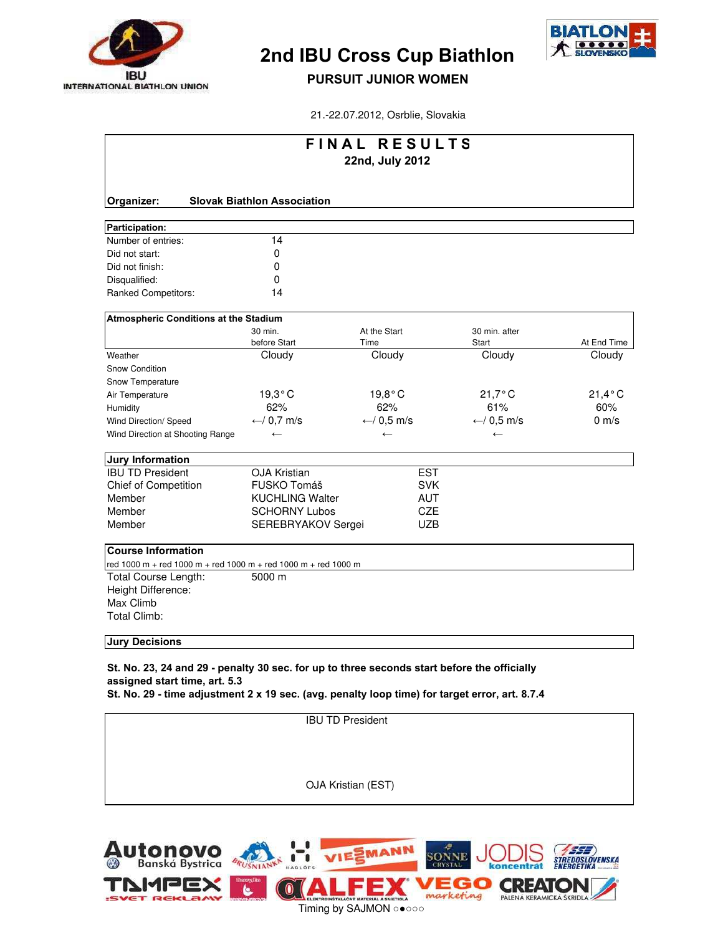



#### PURSUIT JUNIOR WOMEN

21.-22.07.2012, Osrblie, Slovakia

|                                                                |                                    | FINAL RESULTS<br>22nd, July 2012 |                        |                  |
|----------------------------------------------------------------|------------------------------------|----------------------------------|------------------------|------------------|
| Organizer:                                                     | <b>Slovak Biathlon Association</b> |                                  |                        |                  |
| Participation:                                                 |                                    |                                  |                        |                  |
| Number of entries:                                             | 14                                 |                                  |                        |                  |
| Did not start:                                                 | 0                                  |                                  |                        |                  |
| Did not finish:                                                | 0                                  |                                  |                        |                  |
| Disqualified:                                                  | 0                                  |                                  |                        |                  |
| Ranked Competitors:                                            | 14                                 |                                  |                        |                  |
| <b>Atmospheric Conditions at the Stadium</b>                   |                                    |                                  |                        |                  |
|                                                                | 30 min.<br>before Start            | At the Start<br>Time             | 30 min. after<br>Start | At End Time      |
| Weather                                                        | Cloudy                             | Cloudy                           | Cloudy                 | Cloudy           |
| <b>Snow Condition</b>                                          |                                    |                                  |                        |                  |
| Snow Temperature                                               |                                    |                                  |                        |                  |
| Air Temperature                                                | $19,3^{\circ}$ C                   | $19,8^{\circ}$ C                 | $21,7^{\circ}$ C       | $21,4^{\circ}$ C |
| Humidity                                                       | 62%                                | 62%                              | 61%                    | 60%              |
| Wind Direction/ Speed                                          | $\leftarrow$ / 0,7 m/s             | ← $/ 0.5$ m/s                    | $\leftarrow$ / 0,5 m/s | $0 \text{ m/s}$  |
| Wind Direction at Shooting Range                               | $\leftarrow$                       | $\leftarrow$                     | $\leftarrow$           |                  |
| <b>Jury Information</b>                                        |                                    |                                  |                        |                  |
| <b>IBU TD President</b>                                        | <b>OJA Kristian</b>                | <b>EST</b>                       |                        |                  |
| Chief of Competition                                           | FUSKO Tomáš                        | <b>SVK</b>                       |                        |                  |
| Member                                                         | <b>KUCHLING Walter</b>             | <b>AUT</b>                       |                        |                  |
| Member                                                         | <b>SCHORNY Lubos</b>               | <b>CZE</b>                       |                        |                  |
| Member                                                         | SEREBRYAKOV Sergei                 | <b>UZB</b>                       |                        |                  |
| <b>Course Information</b>                                      |                                    |                                  |                        |                  |
| red 1000 m + red 1000 m + red 1000 m + red 1000 m + red 1000 m |                                    |                                  |                        |                  |
| Total Course Length:                                           | 5000 m                             |                                  |                        |                  |
| Height Difference:                                             |                                    |                                  |                        |                  |
| Max Climb                                                      |                                    |                                  |                        |                  |
| <b>Total Climb:</b>                                            |                                    |                                  |                        |                  |
|                                                                |                                    |                                  |                        |                  |

Jury Decisions

St. No. 23, 24 and 29 - penalty 30 sec. for up to three seconds start before the officially assigned start time, art. 5.3

St. No. 29 - time adjustment 2 x 19 sec. (avg. penalty loop time) for target error, art. 8.7.4

IBU TD President

OJA Kristian (EST)